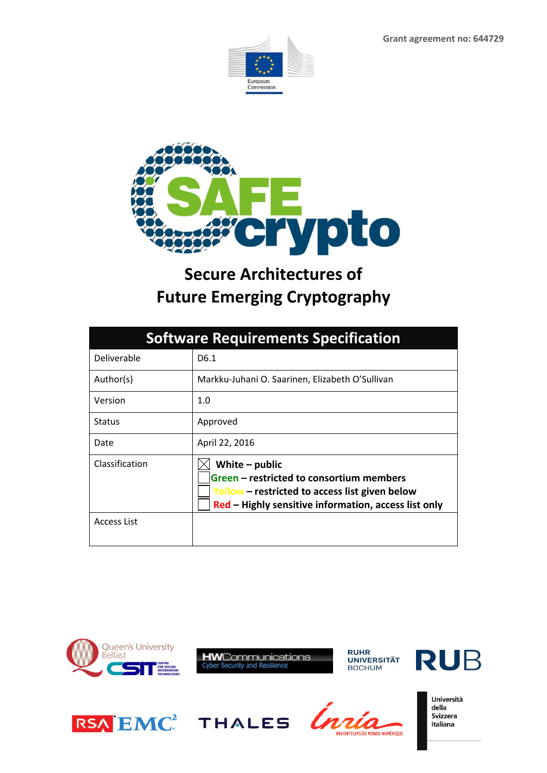



# **Secure Architectures of Future Emerging Cryptography**

| <b>Software Requirements Specification</b> |                                                                                                                                                                        |  |  |  |
|--------------------------------------------|------------------------------------------------------------------------------------------------------------------------------------------------------------------------|--|--|--|
| Deliverable                                | D <sub>6.1</sub>                                                                                                                                                       |  |  |  |
| Author(s)                                  | Markku-Juhani O. Saarinen, Elizabeth O'Sullivan                                                                                                                        |  |  |  |
| Version                                    | 1.0                                                                                                                                                                    |  |  |  |
| <b>Status</b>                              | Approved                                                                                                                                                               |  |  |  |
| Date                                       | April 22, 2016                                                                                                                                                         |  |  |  |
| Classification                             | White $-$ public<br>Green – restricted to consortium members<br>Yellow – restricted to access list given below<br>Red - Highly sensitive information, access list only |  |  |  |
| <b>Access List</b>                         |                                                                                                                                                                        |  |  |  |



**HWCommunications Cyber Security and Resilience** 





Università della Svizzera italiana





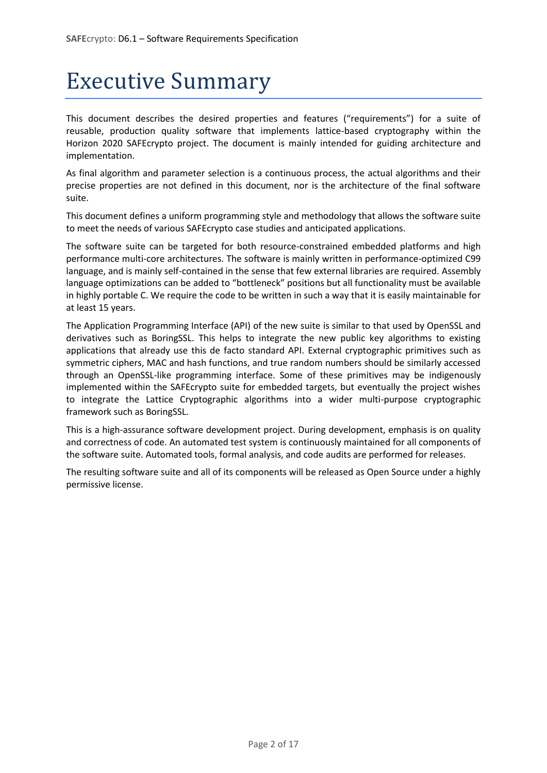# Executive Summary

This document describes the desired properties and features ("requirements") for a suite of reusable, production quality software that implements lattice-based cryptography within the Horizon 2020 SAFEcrypto project. The document is mainly intended for guiding architecture and implementation.

As final algorithm and parameter selection is a continuous process, the actual algorithms and their precise properties are not defined in this document, nor is the architecture of the final software suite.

This document defines a uniform programming style and methodology that allows the software suite to meet the needs of various SAFEcrypto case studies and anticipated applications.

The software suite can be targeted for both resource-constrained embedded platforms and high performance multi-core architectures. The software is mainly written in performance-optimized C99 language, and is mainly self-contained in the sense that few external libraries are required. Assembly language optimizations can be added to "bottleneck" positions but all functionality must be available in highly portable C. We require the code to be written in such a way that it is easily maintainable for at least 15 years.

The Application Programming Interface (API) of the new suite is similar to that used by OpenSSL and derivatives such as BoringSSL. This helps to integrate the new public key algorithms to existing applications that already use this de facto standard API. External cryptographic primitives such as symmetric ciphers, MAC and hash functions, and true random numbers should be similarly accessed through an OpenSSL-like programming interface. Some of these primitives may be indigenously implemented within the SAFEcrypto suite for embedded targets, but eventually the project wishes to integrate the Lattice Cryptographic algorithms into a wider multi-purpose cryptographic framework such as BoringSSL.

This is a high-assurance software development project. During development, emphasis is on quality and correctness of code. An automated test system is continuously maintained for all components of the software suite. Automated tools, formal analysis, and code audits are performed for releases.

The resulting software suite and all of its components will be released as Open Source under a highly permissive license.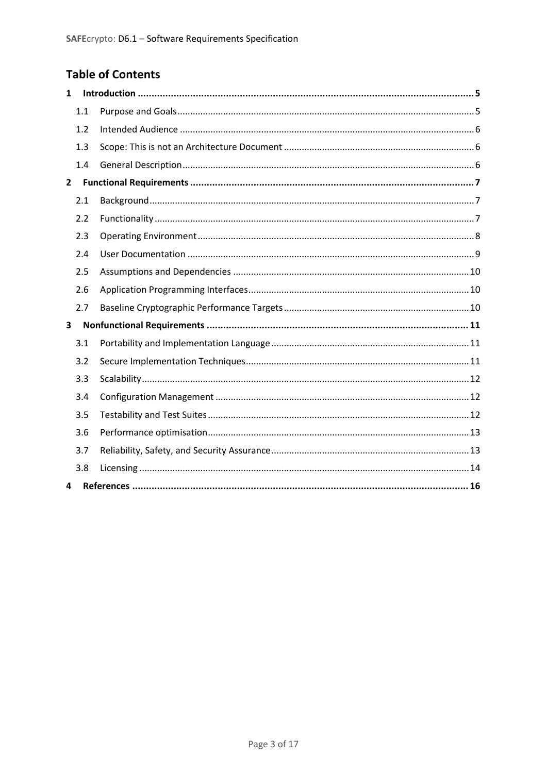# **Table of Contents**

| $\mathbf{1}$   |     |  |  |  |
|----------------|-----|--|--|--|
|                | 1.1 |  |  |  |
|                | 1.2 |  |  |  |
|                | 1.3 |  |  |  |
|                | 1.4 |  |  |  |
| $\overline{2}$ |     |  |  |  |
|                | 2.1 |  |  |  |
|                | 2.2 |  |  |  |
|                | 2.3 |  |  |  |
|                | 2.4 |  |  |  |
|                | 2.5 |  |  |  |
|                | 2.6 |  |  |  |
|                | 2.7 |  |  |  |
| 3              |     |  |  |  |
|                | 3.1 |  |  |  |
|                | 3.2 |  |  |  |
|                | 3.3 |  |  |  |
|                | 3.4 |  |  |  |
|                | 3.5 |  |  |  |
|                | 3.6 |  |  |  |
|                | 3.7 |  |  |  |
|                | 3.8 |  |  |  |
| 4              |     |  |  |  |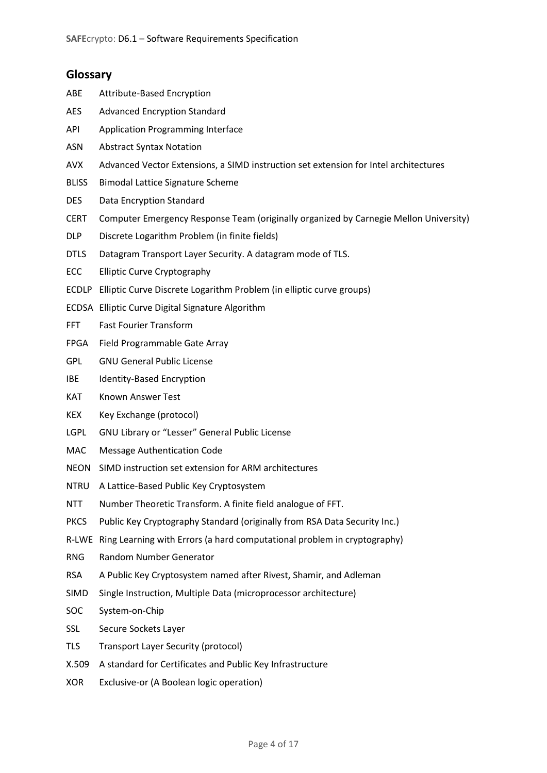#### **Glossary**

- ABE Attribute-Based Encryption
- AES Advanced Encryption Standard
- API Application Programming Interface
- ASN Abstract Syntax Notation
- AVX Advanced Vector Extensions, a SIMD instruction set extension for Intel architectures
- BLISS Bimodal Lattice Signature Scheme
- DES Data Encryption Standard
- CERT Computer Emergency Response Team (originally organized by Carnegie Mellon University)
- DLP Discrete Logarithm Problem (in finite fields)
- DTLS Datagram Transport Layer Security. A datagram mode of TLS.
- ECC Elliptic Curve Cryptography
- ECDLP Elliptic Curve Discrete Logarithm Problem (in elliptic curve groups)
- ECDSA Elliptic Curve Digital Signature Algorithm
- FFT Fast Fourier Transform
- FPGA Field Programmable Gate Array
- GPL GNU General Public License
- IBE Identity-Based Encryption
- KAT Known Answer Test
- KEX Key Exchange (protocol)
- LGPL GNU Library or "Lesser" General Public License
- MAC Message Authentication Code
- NEON SIMD instruction set extension for ARM architectures
- NTRU A Lattice-Based Public Key Cryptosystem
- NTT Number Theoretic Transform. A finite field analogue of FFT.
- PKCS Public Key Cryptography Standard (originally from RSA Data Security Inc.)
- R-LWE Ring Learning with Errors (a hard computational problem in cryptography)
- RNG Random Number Generator
- RSA A Public Key Cryptosystem named after Rivest, Shamir, and Adleman
- SIMD Single Instruction, Multiple Data (microprocessor architecture)
- SOC System-on-Chip
- SSL Secure Sockets Layer
- TLS Transport Layer Security (protocol)
- X.509 A standard for Certificates and Public Key Infrastructure
- XOR Exclusive-or (A Boolean logic operation)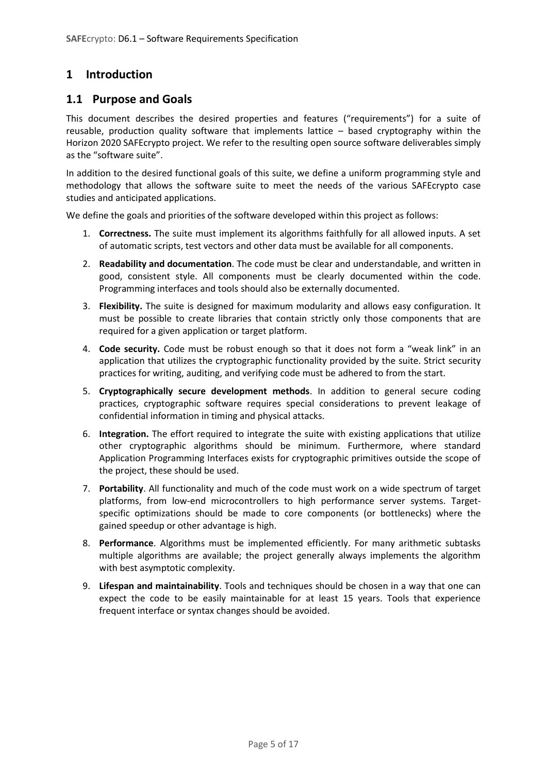#### **1 Introduction**

#### **1.1 Purpose and Goals**

This document describes the desired properties and features ("requirements") for a suite of reusable, production quality software that implements lattice – based cryptography within the Horizon 2020 SAFEcrypto project. We refer to the resulting open source software deliverables simply as the "software suite".

In addition to the desired functional goals of this suite, we define a uniform programming style and methodology that allows the software suite to meet the needs of the various SAFEcrypto case studies and anticipated applications.

We define the goals and priorities of the software developed within this project as follows:

- 1. **Correctness.** The suite must implement its algorithms faithfully for all allowed inputs. A set of automatic scripts, test vectors and other data must be available for all components.
- 2. **Readability and documentation**. The code must be clear and understandable, and written in good, consistent style. All components must be clearly documented within the code. Programming interfaces and tools should also be externally documented.
- 3. **Flexibility.** The suite is designed for maximum modularity and allows easy configuration. It must be possible to create libraries that contain strictly only those components that are required for a given application or target platform.
- 4. **Code security.** Code must be robust enough so that it does not form a "weak link" in an application that utilizes the cryptographic functionality provided by the suite. Strict security practices for writing, auditing, and verifying code must be adhered to from the start.
- 5. **Cryptographically secure development methods**. In addition to general secure coding practices, cryptographic software requires special considerations to prevent leakage of confidential information in timing and physical attacks.
- 6. **Integration.** The effort required to integrate the suite with existing applications that utilize other cryptographic algorithms should be minimum. Furthermore, where standard Application Programming Interfaces exists for cryptographic primitives outside the scope of the project, these should be used.
- 7. **Portability**. All functionality and much of the code must work on a wide spectrum of target platforms, from low-end microcontrollers to high performance server systems. Targetspecific optimizations should be made to core components (or bottlenecks) where the gained speedup or other advantage is high.
- 8. **Performance**. Algorithms must be implemented efficiently. For many arithmetic subtasks multiple algorithms are available; the project generally always implements the algorithm with best asymptotic complexity.
- 9. **Lifespan and maintainability**. Tools and techniques should be chosen in a way that one can expect the code to be easily maintainable for at least 15 years. Tools that experience frequent interface or syntax changes should be avoided.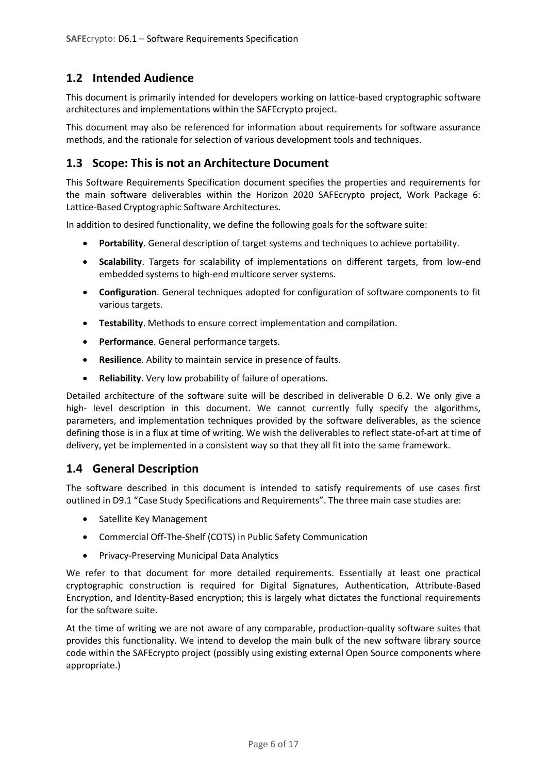#### **1.2 Intended Audience**

This document is primarily intended for developers working on lattice-based cryptographic software architectures and implementations within the SAFEcrypto project.

This document may also be referenced for information about requirements for software assurance methods, and the rationale for selection of various development tools and techniques.

#### **1.3 Scope: This is not an Architecture Document**

This Software Requirements Specification document specifies the properties and requirements for the main software deliverables within the Horizon 2020 SAFEcrypto project, Work Package 6: Lattice-Based Cryptographic Software Architectures.

In addition to desired functionality, we define the following goals for the software suite:

- **Portability**. General description of target systems and techniques to achieve portability.
- **Scalability**. Targets for scalability of implementations on different targets, from low-end embedded systems to high-end multicore server systems.
- **Configuration**. General techniques adopted for configuration of software components to fit various targets.
- **Testability**. Methods to ensure correct implementation and compilation.
- **•** Performance. General performance targets.
- **Resilience**. Ability to maintain service in presence of faults.
- **Reliability**. Very low probability of failure of operations.

Detailed architecture of the software suite will be described in deliverable D 6.2. We only give a high- level description in this document. We cannot currently fully specify the algorithms, parameters, and implementation techniques provided by the software deliverables, as the science defining those is in a flux at time of writing. We wish the deliverables to reflect state-of-art at time of delivery, yet be implemented in a consistent way so that they all fit into the same framework.

#### **1.4 General Description**

The software described in this document is intended to satisfy requirements of use cases first outlined in D9.1 "Case Study Specifications and Requirements". The three main case studies are:

- Satellite Key Management
- Commercial Off-The-Shelf (COTS) in Public Safety Communication
- Privacy-Preserving Municipal Data Analytics

We refer to that document for more detailed requirements. Essentially at least one practical cryptographic construction is required for Digital Signatures, Authentication, Attribute-Based Encryption, and Identity-Based encryption; this is largely what dictates the functional requirements for the software suite.

At the time of writing we are not aware of any comparable, production-quality software suites that provides this functionality. We intend to develop the main bulk of the new software library source code within the SAFEcrypto project (possibly using existing external Open Source components where appropriate.)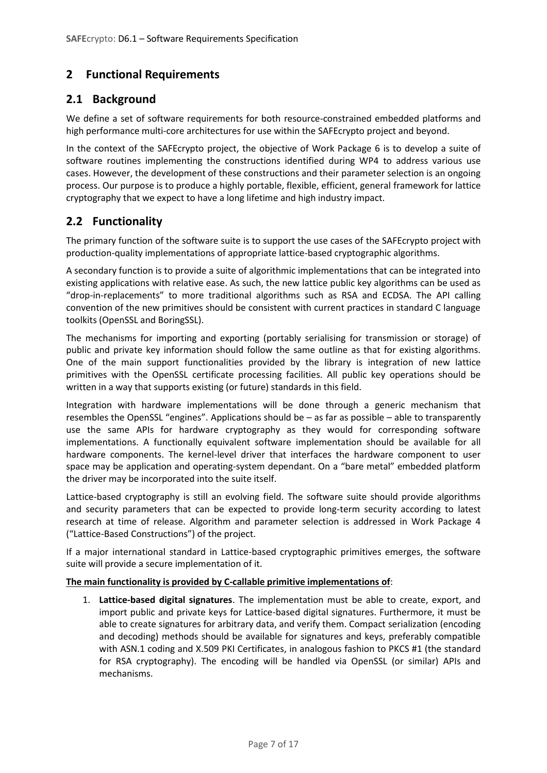### **2 Functional Requirements**

#### **2.1 Background**

We define a set of software requirements for both resource-constrained embedded platforms and high performance multi-core architectures for use within the SAFEcrypto project and beyond.

In the context of the SAFEcrypto project, the objective of Work Package 6 is to develop a suite of software routines implementing the constructions identified during WP4 to address various use cases. However, the development of these constructions and their parameter selection is an ongoing process. Our purpose is to produce a highly portable, flexible, efficient, general framework for lattice cryptography that we expect to have a long lifetime and high industry impact.

#### **2.2 Functionality**

The primary function of the software suite is to support the use cases of the SAFEcrypto project with production-quality implementations of appropriate lattice-based cryptographic algorithms.

A secondary function is to provide a suite of algorithmic implementations that can be integrated into existing applications with relative ease. As such, the new lattice public key algorithms can be used as "drop-in-replacements" to more traditional algorithms such as RSA and ECDSA. The API calling convention of the new primitives should be consistent with current practices in standard C language toolkits (OpenSSL and BoringSSL).

The mechanisms for importing and exporting (portably serialising for transmission or storage) of public and private key information should follow the same outline as that for existing algorithms. One of the main support functionalities provided by the library is integration of new lattice primitives with the OpenSSL certificate processing facilities. All public key operations should be written in a way that supports existing (or future) standards in this field.

Integration with hardware implementations will be done through a generic mechanism that resembles the OpenSSL "engines". Applications should be – as far as possible – able to transparently use the same APIs for hardware cryptography as they would for corresponding software implementations. A functionally equivalent software implementation should be available for all hardware components. The kernel-level driver that interfaces the hardware component to user space may be application and operating-system dependant. On a "bare metal" embedded platform the driver may be incorporated into the suite itself.

Lattice-based cryptography is still an evolving field. The software suite should provide algorithms and security parameters that can be expected to provide long-term security according to latest research at time of release. Algorithm and parameter selection is addressed in Work Package 4 ("Lattice-Based Constructions") of the project.

If a major international standard in Lattice-based cryptographic primitives emerges, the software suite will provide a secure implementation of it.

#### **The main functionality is provided by C-callable primitive implementations of**:

1. **Lattice-based digital signatures**. The implementation must be able to create, export, and import public and private keys for Lattice-based digital signatures. Furthermore, it must be able to create signatures for arbitrary data, and verify them. Compact serialization (encoding and decoding) methods should be available for signatures and keys, preferably compatible with ASN.1 coding and X.509 PKI Certificates, in analogous fashion to PKCS #1 (the standard for RSA cryptography). The encoding will be handled via OpenSSL (or similar) APIs and mechanisms.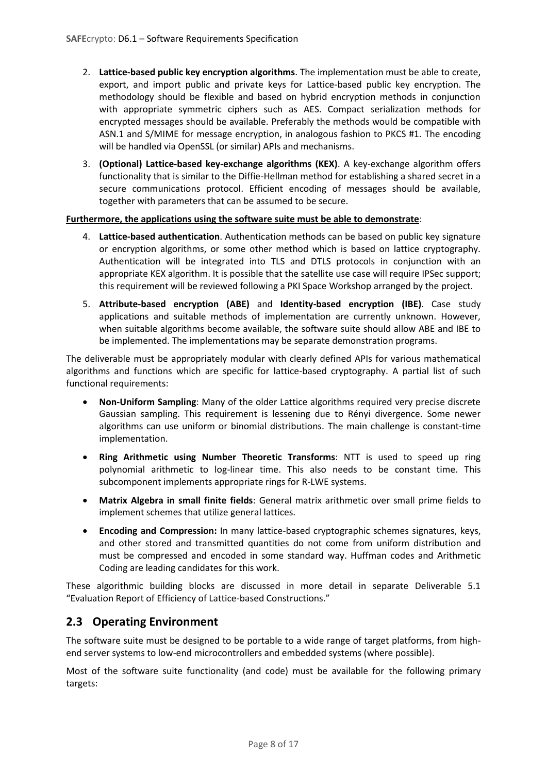- 2. **Lattice-based public key encryption algorithms**. The implementation must be able to create, export, and import public and private keys for Lattice-based public key encryption. The methodology should be flexible and based on hybrid encryption methods in conjunction with appropriate symmetric ciphers such as AES. Compact serialization methods for encrypted messages should be available. Preferably the methods would be compatible with ASN.1 and S/MIME for message encryption, in analogous fashion to PKCS #1. The encoding will be handled via OpenSSL (or similar) APIs and mechanisms.
- 3. **(Optional) Lattice-based key-exchange algorithms (KEX)**. A key-exchange algorithm offers functionality that is similar to the Diffie-Hellman method for establishing a shared secret in a secure communications protocol. Efficient encoding of messages should be available, together with parameters that can be assumed to be secure.

#### **Furthermore, the applications using the software suite must be able to demonstrate**:

- 4. **Lattice-based authentication**. Authentication methods can be based on public key signature or encryption algorithms, or some other method which is based on lattice cryptography. Authentication will be integrated into TLS and DTLS protocols in conjunction with an appropriate KEX algorithm. It is possible that the satellite use case will require IPSec support; this requirement will be reviewed following a PKI Space Workshop arranged by the project.
- 5. **Attribute-based encryption (ABE)** and **Identity-based encryption (IBE)**. Case study applications and suitable methods of implementation are currently unknown. However, when suitable algorithms become available, the software suite should allow ABE and IBE to be implemented. The implementations may be separate demonstration programs.

The deliverable must be appropriately modular with clearly defined APIs for various mathematical algorithms and functions which are specific for lattice-based cryptography. A partial list of such functional requirements:

- **Non-Uniform Sampling**: Many of the older Lattice algorithms required very precise discrete Gaussian sampling. This requirement is lessening due to Rényi divergence. Some newer algorithms can use uniform or binomial distributions. The main challenge is constant-time implementation.
- **Ring Arithmetic using Number Theoretic Transforms**: NTT is used to speed up ring polynomial arithmetic to log-linear time. This also needs to be constant time. This subcomponent implements appropriate rings for R-LWE systems.
- **Matrix Algebra in small finite fields**: General matrix arithmetic over small prime fields to implement schemes that utilize general lattices.
- **Encoding and Compression:** In many lattice-based cryptographic schemes signatures, keys, and other stored and transmitted quantities do not come from uniform distribution and must be compressed and encoded in some standard way. Huffman codes and Arithmetic Coding are leading candidates for this work.

These algorithmic building blocks are discussed in more detail in separate Deliverable 5.1 "Evaluation Report of Efficiency of Lattice-based Constructions."

#### <span id="page-7-0"></span>**2.3 Operating Environment**

The software suite must be designed to be portable to a wide range of target platforms, from highend server systems to low-end microcontrollers and embedded systems (where possible).

Most of the software suite functionality (and code) must be available for the following primary targets: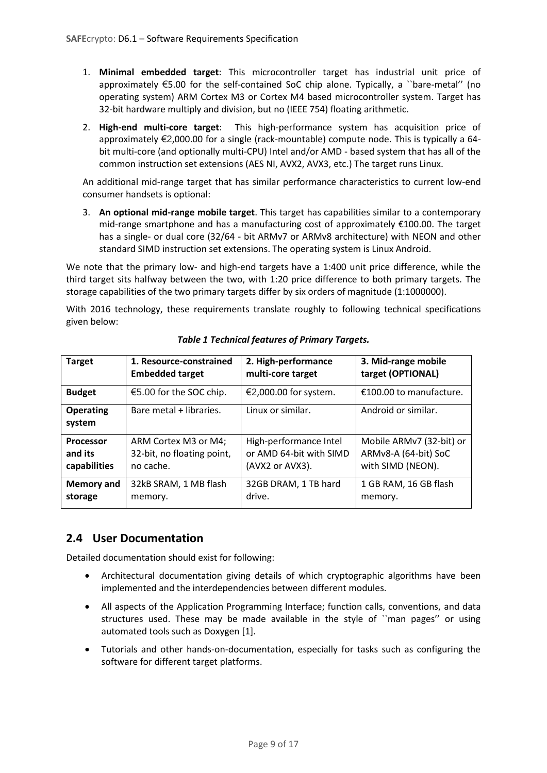- 1. **Minimal embedded target**: This microcontroller target has industrial unit price of approximately €5.00 for the self-contained SoC chip alone. Typically, a ``bare-metal'' (no operating system) ARM Cortex M3 or Cortex M4 based microcontroller system. Target has 32-bit hardware multiply and division, but no (IEEE 754) floating arithmetic.
- 2. **High-end multi-core target**: This high-performance system has acquisition price of approximately  $\epsilon$ 2,000.00 for a single (rack-mountable) compute node. This is typically a 64bit multi-core (and optionally multi-CPU) Intel and/or AMD - based system that has all of the common instruction set extensions (AES NI, AVX2, AVX3, etc.) The target runs Linux.

An additional mid-range target that has similar performance characteristics to current low-end consumer handsets is optional:

3. **An optional mid-range mobile target**. This target has capabilities similar to a contemporary mid-range smartphone and has a manufacturing cost of approximately €100.00. The target has a single- or dual core (32/64 - bit ARMv7 or ARMv8 architecture) with NEON and other standard SIMD instruction set extensions. The operating system is Linux Android.

We note that the primary low- and high-end targets have a 1:400 unit price difference, while the third target sits halfway between the two, with 1:20 price difference to both primary targets. The storage capabilities of the two primary targets differ by six orders of magnitude (1:1000000).

With 2016 technology, these requirements translate roughly to following technical specifications given below:

| <b>Target</b>              | 1. Resource-constrained    | 2. High-performance     | 3. Mid-range mobile      |
|----------------------------|----------------------------|-------------------------|--------------------------|
|                            | <b>Embedded target</b>     | multi-core target       | target (OPTIONAL)        |
| <b>Budget</b>              | €5.00 for the SOC chip.    | €2,000.00 for system.   | €100.00 to manufacture.  |
| <b>Operating</b><br>system | Bare metal + libraries.    | Linux or similar.       | Android or similar.      |
| <b>Processor</b>           | ARM Cortex M3 or M4;       | High-performance Intel  | Mobile ARMv7 (32-bit) or |
| and its                    | 32-bit, no floating point, | or AMD 64-bit with SIMD | ARMv8-A (64-bit) SoC     |
| capabilities               | no cache.                  | (AVX2 or AVX3).         | with SIMD (NEON).        |
| <b>Memory and</b>          | 32kB SRAM, 1 MB flash      | 32GB DRAM, 1 TB hard    | 1 GB RAM, 16 GB flash    |
| storage                    | memory.                    | drive.                  | memory.                  |

#### *Table 1 Technical features of Primary Targets.*

#### **2.4 User Documentation**

Detailed documentation should exist for following:

- Architectural documentation giving details of which cryptographic algorithms have been implemented and the interdependencies between different modules.
- All aspects of the Application Programming Interface; function calls, conventions, and data structures used. These may be made available in the style of ``man pages'' or using automated tools such as Doxygen [1].
- Tutorials and other hands-on-documentation, especially for tasks such as configuring the software for different target platforms.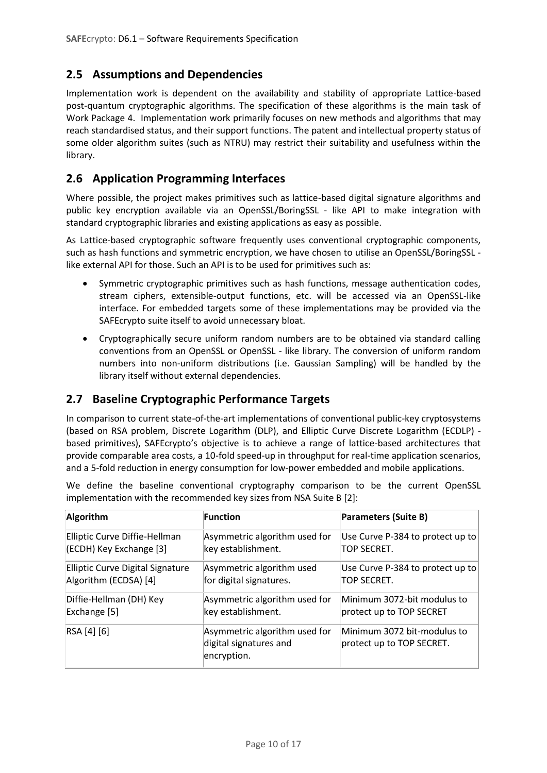#### **2.5 Assumptions and Dependencies**

Implementation work is dependent on the availability and stability of appropriate Lattice-based post-quantum cryptographic algorithms. The specification of these algorithms is the main task of Work Package 4. Implementation work primarily focuses on new methods and algorithms that may reach standardised status, and their support functions. The patent and intellectual property status of some older algorithm suites (such as NTRU) may restrict their suitability and usefulness within the library.

#### **2.6 Application Programming Interfaces**

Where possible, the project makes primitives such as lattice-based digital signature algorithms and public key encryption available via an OpenSSL/BoringSSL - like API to make integration with standard cryptographic libraries and existing applications as easy as possible.

As Lattice-based cryptographic software frequently uses conventional cryptographic components, such as hash functions and symmetric encryption, we have chosen to utilise an OpenSSL/BoringSSL like external API for those. Such an API is to be used for primitives such as:

- Symmetric cryptographic primitives such as hash functions, message authentication codes, stream ciphers, extensible-output functions, etc. will be accessed via an OpenSSL-like interface. For embedded targets some of these implementations may be provided via the SAFEcrypto suite itself to avoid unnecessary bloat.
- Cryptographically secure uniform random numbers are to be obtained via standard calling conventions from an OpenSSL or OpenSSL - like library. The conversion of uniform random numbers into non-uniform distributions (i.e. Gaussian Sampling) will be handled by the library itself without external dependencies.

#### **2.7 Baseline Cryptographic Performance Targets**

In comparison to current state-of-the-art implementations of conventional public-key cryptosystems (based on RSA problem, Discrete Logarithm (DLP), and Elliptic Curve Discrete Logarithm (ECDLP) based primitives), SAFEcrypto's objective is to achieve a range of lattice-based architectures that provide comparable area costs, a 10-fold speed-up in throughput for real-time application scenarios, and a 5-fold reduction in energy consumption for low-power embedded and mobile applications.

We define the baseline conventional cryptography comparison to be the current OpenSSL implementation with the recommended key sizes from NSA Suite B [2]:

| Algorithm                               | Function                                                               | <b>Parameters (Suite B)</b>                              |
|-----------------------------------------|------------------------------------------------------------------------|----------------------------------------------------------|
| Elliptic Curve Diffie-Hellman           | Asymmetric algorithm used for                                          | Use Curve P-384 to protect up to                         |
| (ECDH) Key Exchange [3]                 | key establishment.                                                     | TOP SECRET.                                              |
| <b>Elliptic Curve Digital Signature</b> | Asymmetric algorithm used                                              | Use Curve P-384 to protect up to                         |
| Algorithm (ECDSA) [4]                   | for digital signatures.                                                | <b>TOP SECRET.</b>                                       |
| Diffie-Hellman (DH) Key                 | Asymmetric algorithm used for                                          | Minimum 3072-bit modulus to                              |
| Exchange [5]                            | key establishment.                                                     | protect up to TOP SECRET                                 |
| RSA [4] [6]                             | Asymmetric algorithm used for<br>digital signatures and<br>encryption. | Minimum 3072 bit-modulus to<br>protect up to TOP SECRET. |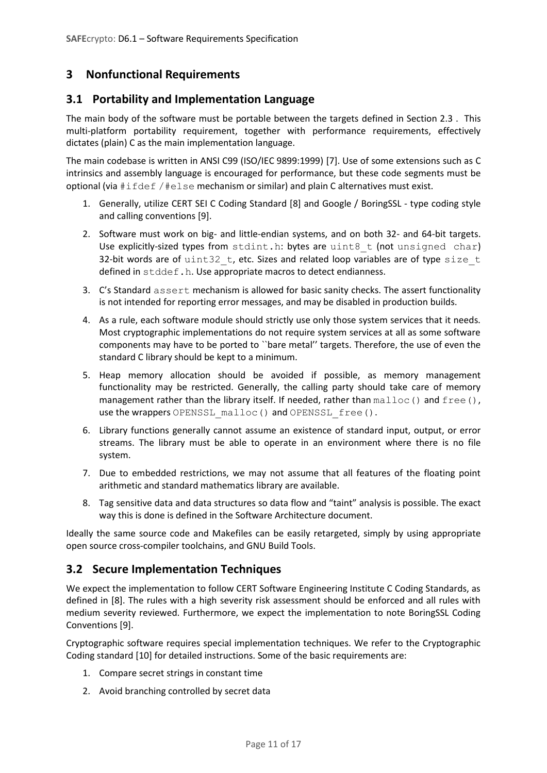#### **3 Nonfunctional Requirements**

#### **3.1 Portability and Implementation Language**

The main body of the software must be portable between the targets defined in Section [2.3](#page-7-0) . This multi-platform portability requirement, together with performance requirements, effectively dictates (plain) C as the main implementation language.

The main codebase is written in ANSI C99 (ISO/IEC 9899:1999) [7]. Use of some extensions such as C intrinsics and assembly language is encouraged for performance, but these code segments must be optional (via #ifdef /#else mechanism or similar) and plain C alternatives must exist.

- 1. Generally, utilize CERT SEI C Coding Standard [8] and Google / BoringSSL type coding style and calling conventions [9].
- 2. Software must work on big- and little-endian systems, and on both 32- and 64-bit targets. Use explicitly-sized types from stdint.h: bytes are uint8 t (not unsigned char) 32-bit words are of  $uint32$  t, etc. Sizes and related loop variables are of type  $size~t$ defined in stddef.h. Use appropriate macros to detect endianness.
- 3. C's Standard assert mechanism is allowed for basic sanity checks. The assert functionality is not intended for reporting error messages, and may be disabled in production builds.
- 4. As a rule, each software module should strictly use only those system services that it needs. Most cryptographic implementations do not require system services at all as some software components may have to be ported to ``bare metal'' targets. Therefore, the use of even the standard C library should be kept to a minimum.
- 5. Heap memory allocation should be avoided if possible, as memory management functionality may be restricted. Generally, the calling party should take care of memory management rather than the library itself. If needed, rather than  $\text{malloc}$  () and  $\text{free}$  (), use the wrappers OPENSSL\_malloc() and OPENSSL free().
- 6. Library functions generally cannot assume an existence of standard input, output, or error streams. The library must be able to operate in an environment where there is no file system.
- 7. Due to embedded restrictions, we may not assume that all features of the floating point arithmetic and standard mathematics library are available.
- 8. Tag sensitive data and data structures so data flow and "taint" analysis is possible. The exact way this is done is defined in the Software Architecture document.

Ideally the same source code and Makefiles can be easily retargeted, simply by using appropriate open source cross-compiler toolchains, and GNU Build Tools.

## **3.2 Secure Implementation Techniques**

We expect the implementation to follow CERT Software Engineering Institute C Coding Standards, as defined in [8]. The rules with a high severity risk assessment should be enforced and all rules with medium severity reviewed. Furthermore, we expect the implementation to note BoringSSL Coding Conventions [9].

Cryptographic software requires special implementation techniques. We refer to the Cryptographic Coding standard [10] for detailed instructions. Some of the basic requirements are:

- 1. Compare secret strings in constant time
- 2. Avoid branching controlled by secret data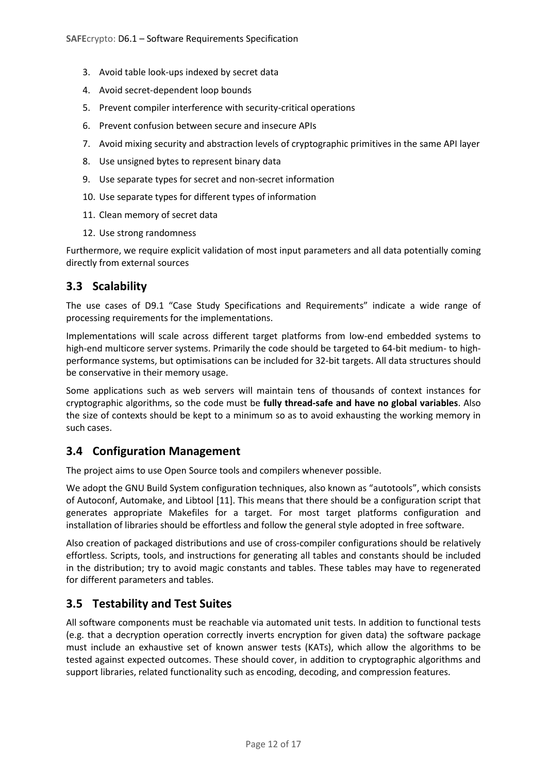- 3. Avoid table look-ups indexed by secret data
- 4. Avoid secret-dependent loop bounds
- 5. Prevent compiler interference with security-critical operations
- 6. Prevent confusion between secure and insecure APIs
- 7. Avoid mixing security and abstraction levels of cryptographic primitives in the same API layer
- 8. Use unsigned bytes to represent binary data
- 9. Use separate types for secret and non-secret information
- 10. Use separate types for different types of information
- 11. Clean memory of secret data
- 12. Use strong randomness

Furthermore, we require explicit validation of most input parameters and all data potentially coming directly from external sources

#### **3.3 Scalability**

The use cases of D9.1 "Case Study Specifications and Requirements" indicate a wide range of processing requirements for the implementations.

Implementations will scale across different target platforms from low-end embedded systems to high-end multicore server systems. Primarily the code should be targeted to 64-bit medium- to highperformance systems, but optimisations can be included for 32-bit targets. All data structures should be conservative in their memory usage.

Some applications such as web servers will maintain tens of thousands of context instances for cryptographic algorithms, so the code must be **fully thread-safe and have no global variables**. Also the size of contexts should be kept to a minimum so as to avoid exhausting the working memory in such cases.

#### **3.4 Configuration Management**

The project aims to use Open Source tools and compilers whenever possible.

We adopt the GNU Build System configuration techniques, also known as "autotools", which consists of Autoconf, Automake, and Libtool [11]. This means that there should be a configuration script that generates appropriate Makefiles for a target. For most target platforms configuration and installation of libraries should be effortless and follow the general style adopted in free software.

Also creation of packaged distributions and use of cross-compiler configurations should be relatively effortless. Scripts, tools, and instructions for generating all tables and constants should be included in the distribution; try to avoid magic constants and tables. These tables may have to regenerated for different parameters and tables.

#### **3.5 Testability and Test Suites**

All software components must be reachable via automated unit tests. In addition to functional tests (e.g. that a decryption operation correctly inverts encryption for given data) the software package must include an exhaustive set of known answer tests (KATs), which allow the algorithms to be tested against expected outcomes. These should cover, in addition to cryptographic algorithms and support libraries, related functionality such as encoding, decoding, and compression features.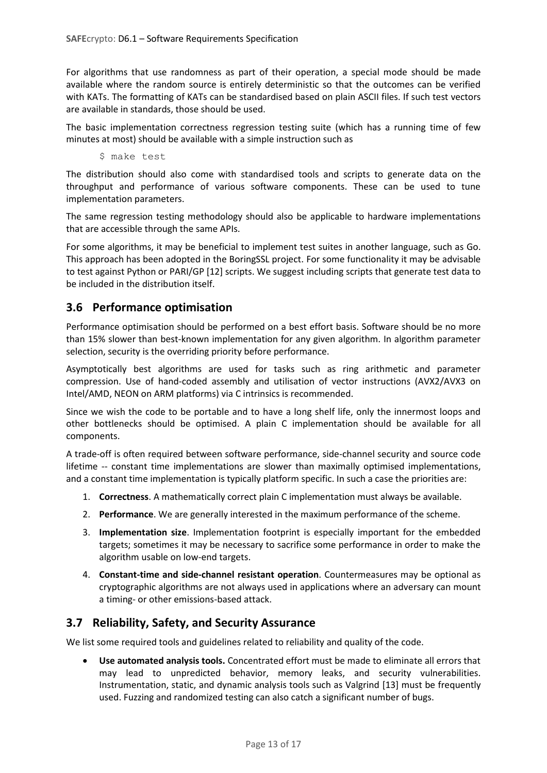For algorithms that use randomness as part of their operation, a special mode should be made available where the random source is entirely deterministic so that the outcomes can be verified with KATs. The formatting of KATs can be standardised based on plain ASCII files. If such test vectors are available in standards, those should be used.

The basic implementation correctness regression testing suite (which has a running time of few minutes at most) should be available with a simple instruction such as

\$ make test

The distribution should also come with standardised tools and scripts to generate data on the throughput and performance of various software components. These can be used to tune implementation parameters.

The same regression testing methodology should also be applicable to hardware implementations that are accessible through the same APIs.

For some algorithms, it may be beneficial to implement test suites in another language, such as Go. This approach has been adopted in the BoringSSL project. For some functionality it may be advisable to test against Python or PARI/GP [12] scripts. We suggest including scripts that generate test data to be included in the distribution itself.

#### **3.6 Performance optimisation**

Performance optimisation should be performed on a best effort basis. Software should be no more than 15% slower than best-known implementation for any given algorithm. In algorithm parameter selection, security is the overriding priority before performance.

Asymptotically best algorithms are used for tasks such as ring arithmetic and parameter compression. Use of hand-coded assembly and utilisation of vector instructions (AVX2/AVX3 on Intel/AMD, NEON on ARM platforms) via C intrinsics is recommended.

Since we wish the code to be portable and to have a long shelf life, only the innermost loops and other bottlenecks should be optimised. A plain C implementation should be available for all components.

A trade-off is often required between software performance, side-channel security and source code lifetime -- constant time implementations are slower than maximally optimised implementations, and a constant time implementation is typically platform specific. In such a case the priorities are:

- 1. **Correctness**. A mathematically correct plain C implementation must always be available.
- 2. **Performance**. We are generally interested in the maximum performance of the scheme.
- 3. **Implementation size**. Implementation footprint is especially important for the embedded targets; sometimes it may be necessary to sacrifice some performance in order to make the algorithm usable on low-end targets.
- 4. **Constant-time and side-channel resistant operation**. Countermeasures may be optional as cryptographic algorithms are not always used in applications where an adversary can mount a timing- or other emissions-based attack.

#### **3.7 Reliability, Safety, and Security Assurance**

We list some required tools and guidelines related to reliability and quality of the code.

 **Use automated analysis tools.** Concentrated effort must be made to eliminate all errors that may lead to unpredicted behavior, memory leaks, and security vulnerabilities. Instrumentation, static, and dynamic analysis tools such as Valgrind [13] must be frequently used. Fuzzing and randomized testing can also catch a significant number of bugs.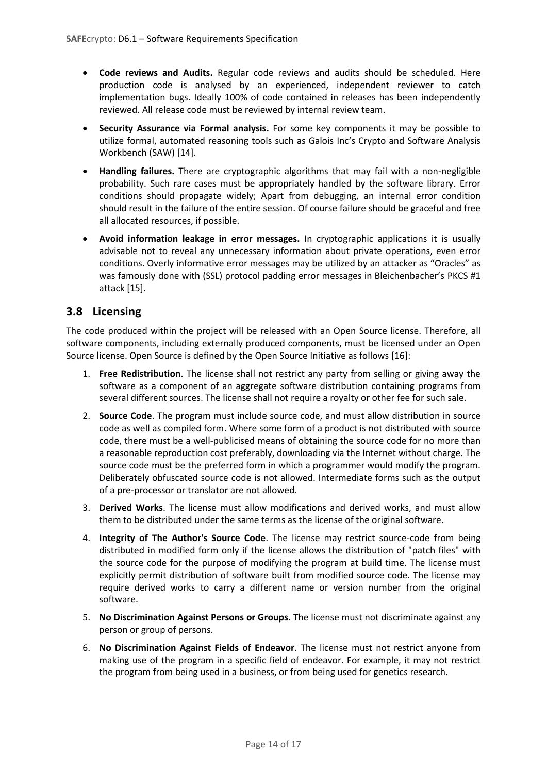- **Code reviews and Audits.** Regular code reviews and audits should be scheduled. Here production code is analysed by an experienced, independent reviewer to catch implementation bugs. Ideally 100% of code contained in releases has been independently reviewed. All release code must be reviewed by internal review team.
- **Security Assurance via Formal analysis.** For some key components it may be possible to utilize formal, automated reasoning tools such as Galois Inc's Crypto and Software Analysis Workbench (SAW) [14].
- **Handling failures.** There are cryptographic algorithms that may fail with a non-negligible probability. Such rare cases must be appropriately handled by the software library. Error conditions should propagate widely; Apart from debugging, an internal error condition should result in the failure of the entire session. Of course failure should be graceful and free all allocated resources, if possible.
- **Avoid information leakage in error messages.** In cryptographic applications it is usually advisable not to reveal any unnecessary information about private operations, even error conditions. Overly informative error messages may be utilized by an attacker as "Oracles" as was famously done with (SSL) protocol padding error messages in Bleichenbacher's PKCS #1 attack [15].

#### **3.8 Licensing**

The code produced within the project will be released with an Open Source license. Therefore, all software components, including externally produced components, must be licensed under an Open Source license. Open Source is defined by the Open Source Initiative as follows [16]:

- 1. **Free Redistribution**. The license shall not restrict any party from selling or giving away the software as a component of an aggregate software distribution containing programs from several different sources. The license shall not require a royalty or other fee for such sale.
- 2. **Source Code**. The program must include source code, and must allow distribution in source code as well as compiled form. Where some form of a product is not distributed with source code, there must be a well-publicised means of obtaining the source code for no more than a reasonable reproduction cost preferably, downloading via the Internet without charge. The source code must be the preferred form in which a programmer would modify the program. Deliberately obfuscated source code is not allowed. Intermediate forms such as the output of a pre-processor or translator are not allowed.
- 3. **Derived Works**. The license must allow modifications and derived works, and must allow them to be distributed under the same terms as the license of the original software.
- 4. **Integrity of The Author's Source Code**. The license may restrict source-code from being distributed in modified form only if the license allows the distribution of "patch files" with the source code for the purpose of modifying the program at build time. The license must explicitly permit distribution of software built from modified source code. The license may require derived works to carry a different name or version number from the original software.
- 5. **No Discrimination Against Persons or Groups**. The license must not discriminate against any person or group of persons.
- 6. **No Discrimination Against Fields of Endeavor**. The license must not restrict anyone from making use of the program in a specific field of endeavor. For example, it may not restrict the program from being used in a business, or from being used for genetics research.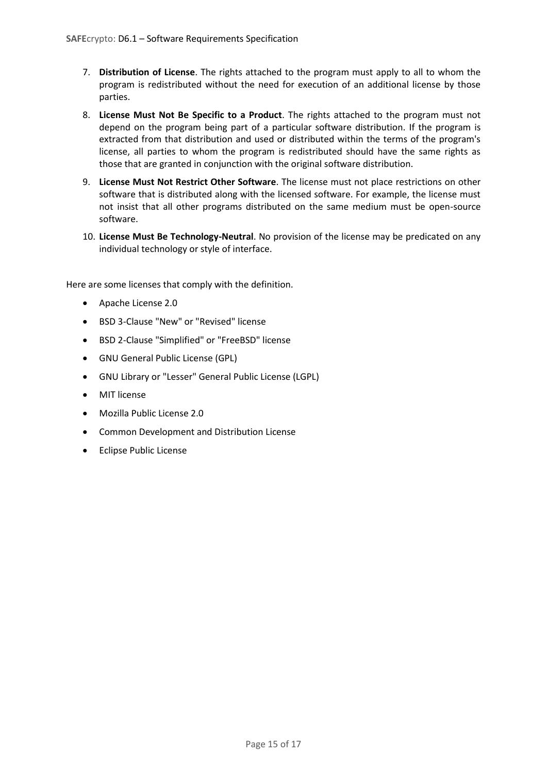- 7. **Distribution of License**. The rights attached to the program must apply to all to whom the program is redistributed without the need for execution of an additional license by those parties.
- 8. **License Must Not Be Specific to a Product**. The rights attached to the program must not depend on the program being part of a particular software distribution. If the program is extracted from that distribution and used or distributed within the terms of the program's license, all parties to whom the program is redistributed should have the same rights as those that are granted in conjunction with the original software distribution.
- 9. **License Must Not Restrict Other Software**. The license must not place restrictions on other software that is distributed along with the licensed software. For example, the license must not insist that all other programs distributed on the same medium must be open-source software.
- 10. **License Must Be Technology-Neutral**. No provision of the license may be predicated on any individual technology or style of interface.

Here are some licenses that comply with the definition.

- Apache License 2.0
- BSD 3-Clause "New" or "Revised" license
- BSD 2-Clause "Simplified" or "FreeBSD" license
- GNU General Public License (GPL)
- GNU Library or "Lesser" General Public License (LGPL)
- MIT license
- Mozilla Public License 2.0
- Common Development and Distribution License
- **•** Eclipse Public License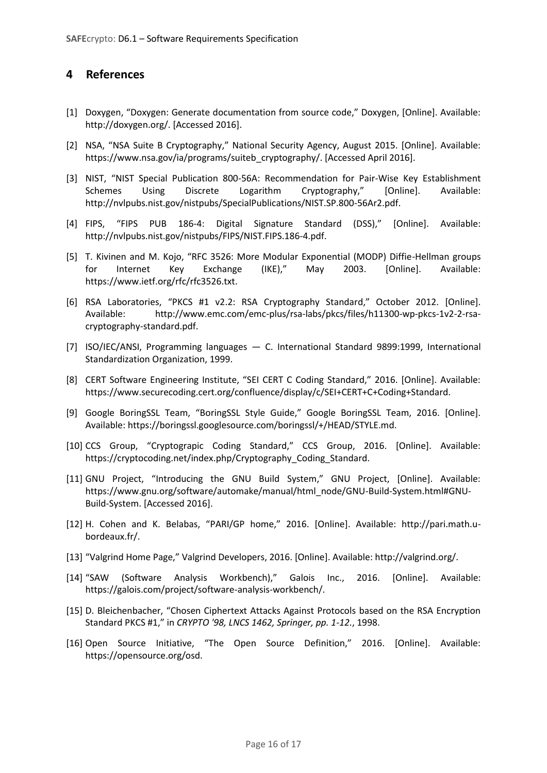#### **4 References**

- [1] Doxygen, "Doxygen: Generate documentation from source code," Doxygen, [Online]. Available: http://doxygen.org/. [Accessed 2016].
- [2] NSA, "NSA Suite B Cryptography," National Security Agency, August 2015. [Online]. Available: https://www.nsa.gov/ia/programs/suiteb\_cryptography/. [Accessed April 2016].
- [3] NIST, "NIST Special Publication 800-56A: Recommendation for Pair-Wise Key Establishment Schemes Using Discrete Logarithm Cryptography," [Online]. Available: http://nvlpubs.nist.gov/nistpubs/SpecialPublications/NIST.SP.800-56Ar2.pdf.
- [4] FIPS, "FIPS PUB 186-4: Digital Signature Standard (DSS)," [Online]. Available: http://nvlpubs.nist.gov/nistpubs/FIPS/NIST.FIPS.186-4.pdf.
- [5] T. Kivinen and M. Kojo, "RFC 3526: More Modular Exponential (MODP) Diffie-Hellman groups for Internet Key Exchange (IKE)," May 2003. [Online]. Available: https://www.ietf.org/rfc/rfc3526.txt.
- [6] RSA Laboratories, "PKCS #1 v2.2: RSA Cryptography Standard," October 2012. [Online]. Available: http://www.emc.com/emc-plus/rsa-labs/pkcs/files/h11300-wp-pkcs-1v2-2-rsacryptography-standard.pdf.
- [7] ISO/IEC/ANSI, Programming languages C. International Standard 9899:1999, International Standardization Organization, 1999.
- [8] CERT Software Engineering Institute, "SEI CERT C Coding Standard," 2016. [Online]. Available: https://www.securecoding.cert.org/confluence/display/c/SEI+CERT+C+Coding+Standard.
- [9] Google BoringSSL Team, "BoringSSL Style Guide," Google BoringSSL Team, 2016. [Online]. Available: https://boringssl.googlesource.com/boringssl/+/HEAD/STYLE.md.
- [10] CCS Group, "Cryptograpic Coding Standard," CCS Group, 2016. [Online]. Available: https://cryptocoding.net/index.php/Cryptography\_Coding\_Standard.
- [11] GNU Project, "Introducing the GNU Build System," GNU Project, [Online]. Available: https://www.gnu.org/software/automake/manual/html\_node/GNU-Build-System.html#GNU-Build-System. [Accessed 2016].
- [12] H. Cohen and K. Belabas, "PARI/GP home," 2016. [Online]. Available: http://pari.math.ubordeaux.fr/.
- [13] "Valgrind Home Page," Valgrind Developers, 2016. [Online]. Available: http://valgrind.org/.
- [14] "SAW (Software Analysis Workbench)," Galois Inc., 2016. [Online]. Available: https://galois.com/project/software-analysis-workbench/.
- [15] D. Bleichenbacher, "Chosen Ciphertext Attacks Against Protocols based on the RSA Encryption Standard PKCS #1," in *CRYPTO '98, LNCS 1462, Springer, pp. 1-12.*, 1998.
- [16] Open Source Initiative, "The Open Source Definition," 2016. [Online]. Available: https://opensource.org/osd.